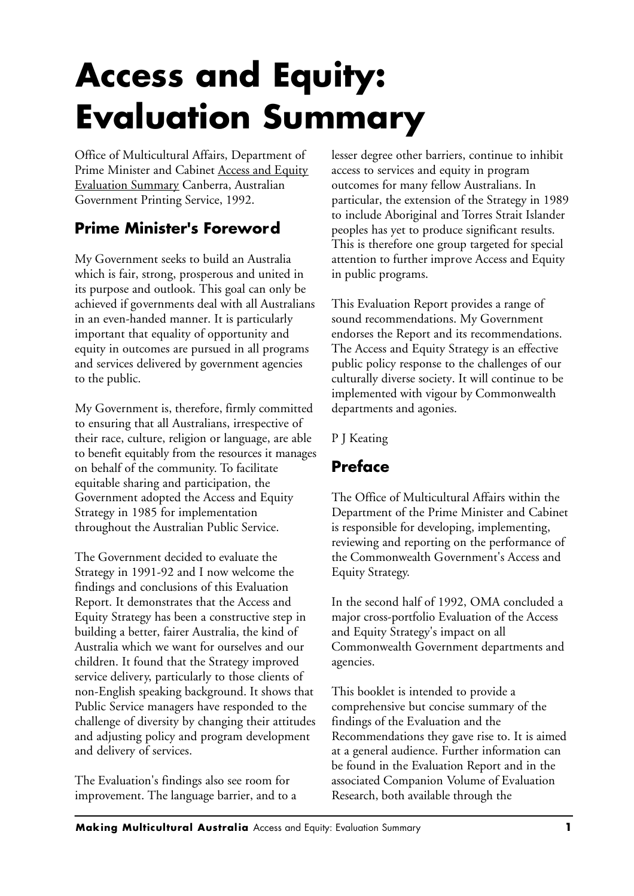# **Access and Equity: Evaluation Summary**

Office of Multicultural Affairs, Department of Prime Minister and Cabinet Access and Equity Evaluation Summary Canberra, Australian Government Printing Service, 1992.

# **Prime Minister's Foreword**

My Government seeks to build an Australia which is fair, strong, prosperous and united in its purpose and outlook. This goal can only be achieved if governments deal with all Australians in an even-handed manner. It is particularly important that equality of opportunity and equity in outcomes are pursued in all programs and services delivered by government agencies to the public.

My Government is, therefore, firmly committed to ensuring that all Australians, irrespective of their race, culture, religion or language, are able to benefit equitably from the resources it manages on behalf of the community. To facilitate equitable sharing and participation, the Government adopted the Access and Equity Strategy in 1985 for implementation throughout the Australian Public Service.

The Government decided to evaluate the Strategy in 1991-92 and I now welcome the findings and conclusions of this Evaluation Report. It demonstrates that the Access and Equity Strategy has been a constructive step in building a better, fairer Australia, the kind of Australia which we want for ourselves and our children. It found that the Strategy improved service delivery, particularly to those clients of non-English speaking background. It shows that Public Service managers have responded to the challenge of diversity by changing their attitudes and adjusting policy and program development and delivery of services.

The Evaluation's findings also see room for improvement. The language barrier, and to a lesser degree other barriers, continue to inhibit access to services and equity in program outcomes for many fellow Australians. In particular, the extension of the Strategy in 1989 to include Aboriginal and Torres Strait Islander peoples has yet to produce significant results. This is therefore one group targeted for special attention to further improve Access and Equity in public programs.

This Evaluation Report provides a range of sound recommendations. My Government endorses the Report and its recommendations. The Access and Equity Strategy is an effective public policy response to the challenges of our culturally diverse society. It will continue to be implemented with vigour by Commonwealth departments and agonies.

P J Keating

## **Preface**

The Office of Multicultural Affairs within the Department of the Prime Minister and Cabinet is responsible for developing, implementing, reviewing and reporting on the performance of the Commonwealth Government's Access and Equity Strategy.

In the second half of 1992, OMA concluded a major cross-portfolio Evaluation of the Access and Equity Strategy's impact on all Commonwealth Government departments and agencies.

This booklet is intended to provide a comprehensive but concise summary of the findings of the Evaluation and the Recommendations they gave rise to. It is aimed at a general audience. Further information can be found in the Evaluation Report and in the associated Companion Volume of Evaluation Research, both available through the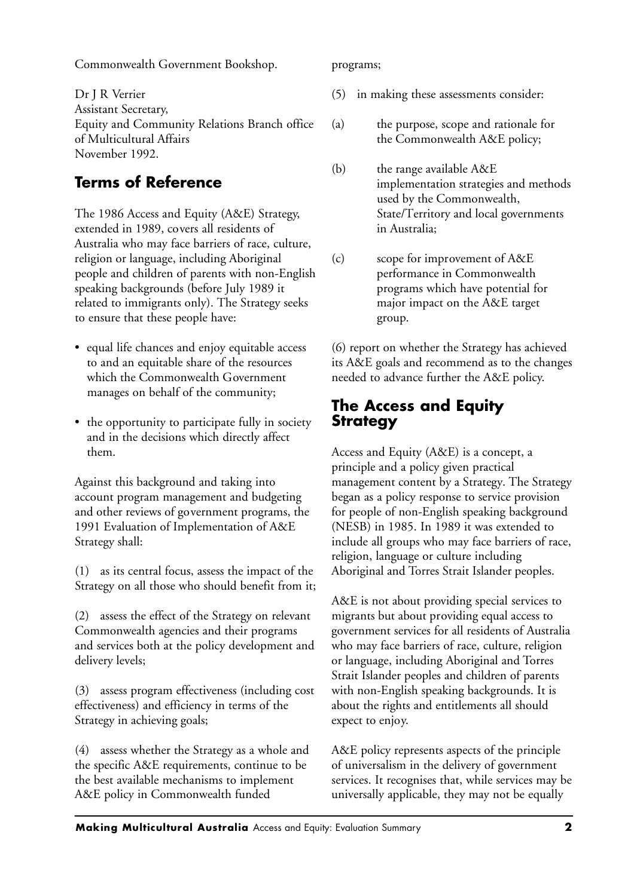Commonwealth Government Bookshop.

Dr J R Verrier Assistant Secretary, Equity and Community Relations Branch office of Multicultural Affairs November 1992.

# **Terms of Reference**

The 1986 Access and Equity (A&E) Strategy, extended in 1989, covers all residents of Australia who may face barriers of race, culture, religion or language, including Aboriginal people and children of parents with non-English speaking backgrounds (before July 1989 it related to immigrants only). The Strategy seeks to ensure that these people have:

- equal life chances and enjoy equitable access to and an equitable share of the resources which the Commonwealth Government manages on behalf of the community;
- the opportunity to participate fully in society and in the decisions which directly affect them.

Against this background and taking into account program management and budgeting and other reviews of government programs, the 1991 Evaluation of Implementation of A&E Strategy shall:

(1) as its central focus, assess the impact of the Strategy on all those who should benefit from it;

(2) assess the effect of the Strategy on relevant Commonwealth agencies and their programs and services both at the policy development and delivery levels;

(3) assess program effectiveness (including cost effectiveness) and efficiency in terms of the Strategy in achieving goals;

(4) assess whether the Strategy as a whole and the specific A&E requirements, continue to be the best available mechanisms to implement A&E policy in Commonwealth funded

programs;

- (5) in making these assessments consider:
- (a) the purpose, scope and rationale for the Commonwealth A&E policy;
- (b) the range available A&E implementation strategies and methods used by the Commonwealth, State/Territory and local governments in Australia;
- (c) scope for improvement of A&E performance in Commonwealth programs which have potential for major impact on the A&E target group.

(6) report on whether the Strategy has achieved its A&E goals and recommend as to the changes needed to advance further the A&E policy.

## **The Access and Equity Strategy**

Access and Equity (A&E) is a concept, a principle and a policy given practical management content by a Strategy. The Strategy began as a policy response to service provision for people of non-English speaking background (NESB) in 1985. In 1989 it was extended to include all groups who may face barriers of race, religion, language or culture including Aboriginal and Torres Strait Islander peoples.

A&E is not about providing special services to migrants but about providing equal access to government services for all residents of Australia who may face barriers of race, culture, religion or language, including Aboriginal and Torres Strait Islander peoples and children of parents with non-English speaking backgrounds. It is about the rights and entitlements all should expect to enjoy.

A&E policy represents aspects of the principle of universalism in the delivery of government services. It recognises that, while services may be universally applicable, they may not be equally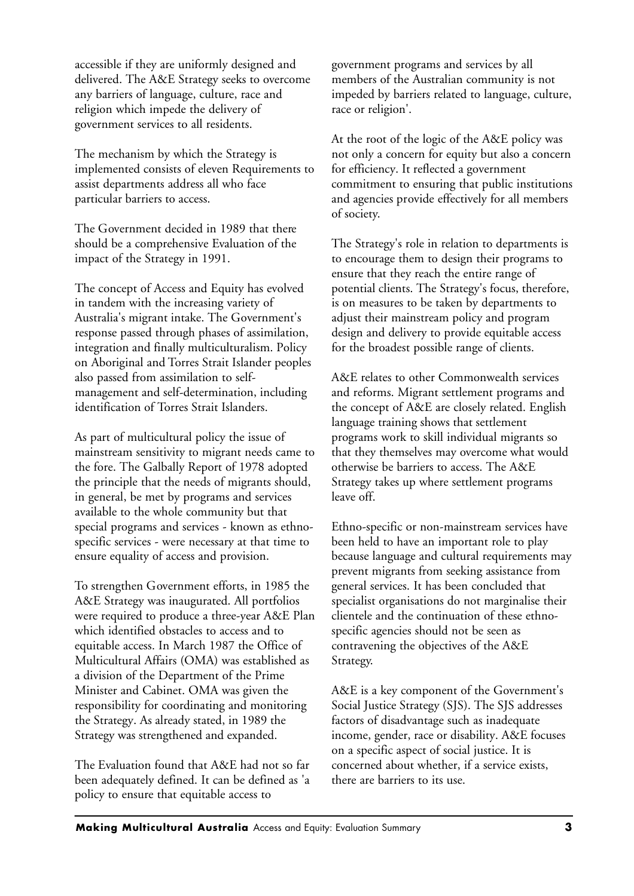accessible if they are uniformly designed and delivered. The A&E Strategy seeks to overcome any barriers of language, culture, race and religion which impede the delivery of government services to all residents.

The mechanism by which the Strategy is implemented consists of eleven Requirements to assist departments address all who face particular barriers to access.

The Government decided in 1989 that there should be a comprehensive Evaluation of the impact of the Strategy in 1991.

The concept of Access and Equity has evolved in tandem with the increasing variety of Australia's migrant intake. The Government's response passed through phases of assimilation, integration and finally multiculturalism. Policy on Aboriginal and Torres Strait Islander peoples also passed from assimilation to selfmanagement and self-determination, including identification of Torres Strait Islanders.

As part of multicultural policy the issue of mainstream sensitivity to migrant needs came to the fore. The Galbally Report of 1978 adopted the principle that the needs of migrants should, in general, be met by programs and services available to the whole community but that special programs and services - known as ethnospecific services - were necessary at that time to ensure equality of access and provision.

To strengthen Government efforts, in 1985 the A&E Strategy was inaugurated. All portfolios were required to produce a three-year A&E Plan which identified obstacles to access and to equitable access. In March 1987 the Office of Multicultural Affairs (OMA) was established as a division of the Department of the Prime Minister and Cabinet. OMA was given the responsibility for coordinating and monitoring the Strategy. As already stated, in 1989 the Strategy was strengthened and expanded.

The Evaluation found that A&E had not so far been adequately defined. It can be defined as 'a policy to ensure that equitable access to

government programs and services by all members of the Australian community is not impeded by barriers related to language, culture, race or religion'.

At the root of the logic of the A&E policy was not only a concern for equity but also a concern for efficiency. It reflected a government commitment to ensuring that public institutions and agencies provide effectively for all members of society.

The Strategy's role in relation to departments is to encourage them to design their programs to ensure that they reach the entire range of potential clients. The Strategy's focus, therefore, is on measures to be taken by departments to adjust their mainstream policy and program design and delivery to provide equitable access for the broadest possible range of clients.

A&E relates to other Commonwealth services and reforms. Migrant settlement programs and the concept of A&E are closely related. English language training shows that settlement programs work to skill individual migrants so that they themselves may overcome what would otherwise be barriers to access. The A&E Strategy takes up where settlement programs leave off.

Ethno-specific or non-mainstream services have been held to have an important role to play because language and cultural requirements may prevent migrants from seeking assistance from general services. It has been concluded that specialist organisations do not marginalise their clientele and the continuation of these ethnospecific agencies should not be seen as contravening the objectives of the A&E Strategy.

A&E is a key component of the Government's Social Justice Strategy (SJS). The SJS addresses factors of disadvantage such as inadequate income, gender, race or disability. A&E focuses on a specific aspect of social justice. It is concerned about whether, if a service exists, there are barriers to its use.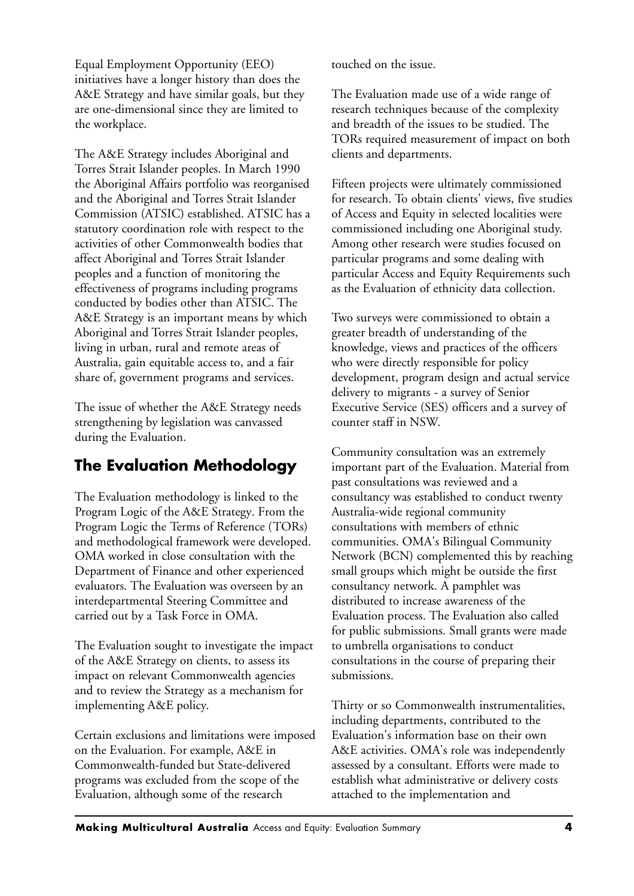Equal Employment Opportunity (EEO) initiatives have a longer history than does the A&E Strategy and have similar goals, but they are one-dimensional since they are limited to the workplace.

The A&E Strategy includes Aboriginal and Torres Strait Islander peoples. In March 1990 the Aboriginal Affairs portfolio was reorganised and the Aboriginal and Torres Strait Islander Commission (ATSIC) established. ATSIC has a statutory coordination role with respect to the activities of other Commonwealth bodies that affect Aboriginal and Torres Strait Islander peoples and a function of monitoring the effectiveness of programs including programs conducted by bodies other than ATSIC. The A&E Strategy is an important means by which Aboriginal and Torres Strait Islander peoples, living in urban, rural and remote areas of Australia, gain equitable access to, and a fair share of, government programs and services.

The issue of whether the A&E Strategy needs strengthening by legislation was canvassed during the Evaluation.

# **The Evaluation Methodology**

The Evaluation methodology is linked to the Program Logic of the A&E Strategy. From the Program Logic the Terms of Reference (TORs) and methodological framework were developed. OMA worked in close consultation with the Department of Finance and other experienced evaluators. The Evaluation was overseen by an interdepartmental Steering Committee and carried out by a Task Force in OMA.

The Evaluation sought to investigate the impact of the A&E Strategy on clients, to assess its impact on relevant Commonwealth agencies and to review the Strategy as a mechanism for implementing A&E policy.

Certain exclusions and limitations were imposed on the Evaluation. For example, A&E in Commonwealth-funded but State-delivered programs was excluded from the scope of the Evaluation, although some of the research

touched on the issue.

The Evaluation made use of a wide range of research techniques because of the complexity and breadth of the issues to be studied. The TORs required measurement of impact on both clients and departments.

Fifteen projects were ultimately commissioned for research. To obtain clients' views, five studies of Access and Equity in selected localities were commissioned including one Aboriginal study. Among other research were studies focused on particular programs and some dealing with particular Access and Equity Requirements such as the Evaluation of ethnicity data collection.

Two surveys were commissioned to obtain a greater breadth of understanding of the knowledge, views and practices of the officers who were directly responsible for policy development, program design and actual service delivery to migrants - a survey of Senior Executive Service (SES) officers and a survey of counter staff in NSW.

Community consultation was an extremely important part of the Evaluation. Material from past consultations was reviewed and a consultancy was established to conduct twenty Australia-wide regional community consultations with members of ethnic communities. OMA's Bilingual Community Network (BCN) complemented this by reaching small groups which might be outside the first consultancy network. A pamphlet was distributed to increase awareness of the Evaluation process. The Evaluation also called for public submissions. Small grants were made to umbrella organisations to conduct consultations in the course of preparing their submissions.

Thirty or so Commonwealth instrumentalities, including departments, contributed to the Evaluation's information base on their own A&E activities. OMA's role was independently assessed by a consultant. Efforts were made to establish what administrative or delivery costs attached to the implementation and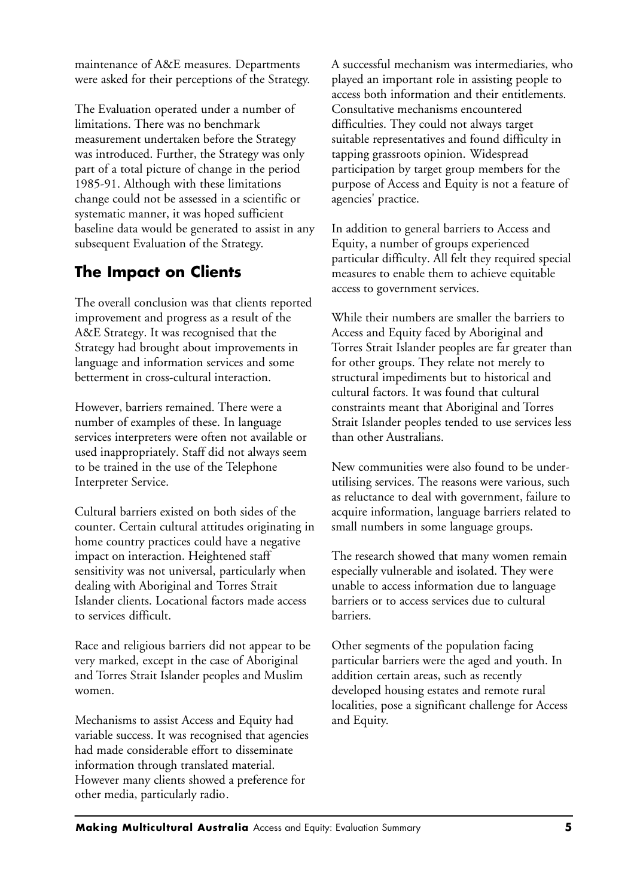maintenance of A&E measures. Departments were asked for their perceptions of the Strategy.

The Evaluation operated under a number of limitations. There was no benchmark measurement undertaken before the Strategy was introduced. Further, the Strategy was only part of a total picture of change in the period 1985-91. Although with these limitations change could not be assessed in a scientific or systematic manner, it was hoped sufficient baseline data would be generated to assist in any subsequent Evaluation of the Strategy.

# **The Impact on Clients**

The overall conclusion was that clients reported improvement and progress as a result of the A&E Strategy. It was recognised that the Strategy had brought about improvements in language and information services and some betterment in cross-cultural interaction.

However, barriers remained. There were a number of examples of these. In language services interpreters were often not available or used inappropriately. Staff did not always seem to be trained in the use of the Telephone Interpreter Service.

Cultural barriers existed on both sides of the counter. Certain cultural attitudes originating in home country practices could have a negative impact on interaction. Heightened staff sensitivity was not universal, particularly when dealing with Aboriginal and Torres Strait Islander clients. Locational factors made access to services difficult.

Race and religious barriers did not appear to be very marked, except in the case of Aboriginal and Torres Strait Islander peoples and Muslim women.

Mechanisms to assist Access and Equity had variable success. It was recognised that agencies had made considerable effort to disseminate information through translated material. However many clients showed a preference for other media, particularly radio.

A successful mechanism was intermediaries, who played an important role in assisting people to access both information and their entitlements. Consultative mechanisms encountered difficulties. They could not always target suitable representatives and found difficulty in tapping grassroots opinion. Widespread participation by target group members for the purpose of Access and Equity is not a feature of agencies' practice.

In addition to general barriers to Access and Equity, a number of groups experienced particular difficulty. All felt they required special measures to enable them to achieve equitable access to government services.

While their numbers are smaller the barriers to Access and Equity faced by Aboriginal and Torres Strait Islander peoples are far greater than for other groups. They relate not merely to structural impediments but to historical and cultural factors. It was found that cultural constraints meant that Aboriginal and Torres Strait Islander peoples tended to use services less than other Australians.

New communities were also found to be underutilising services. The reasons were various, such as reluctance to deal with government, failure to acquire information, language barriers related to small numbers in some language groups.

The research showed that many women remain especially vulnerable and isolated. They were unable to access information due to language barriers or to access services due to cultural barriers.

Other segments of the population facing particular barriers were the aged and youth. In addition certain areas, such as recently developed housing estates and remote rural localities, pose a significant challenge for Access and Equity.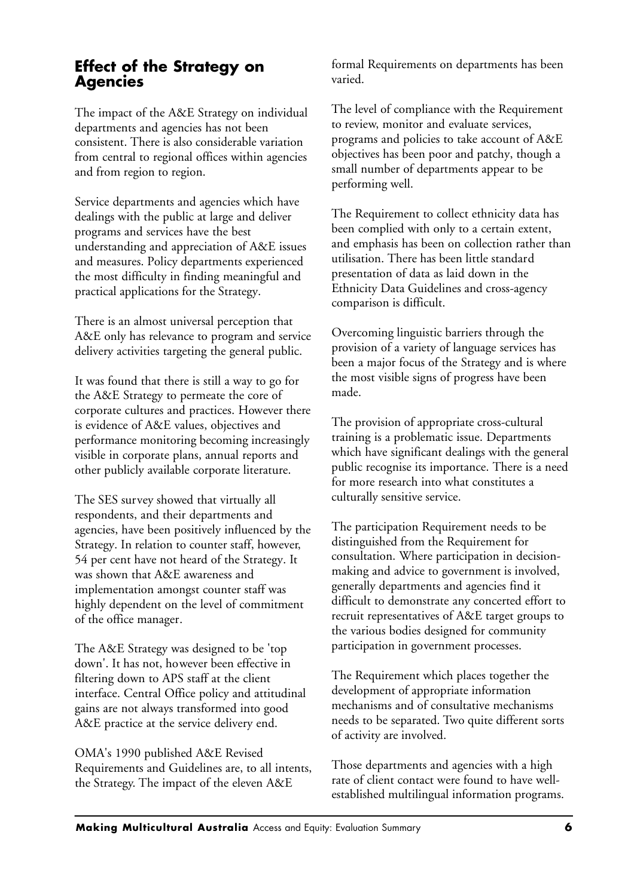## **Effect of the Strategy on Agencies**

The impact of the A&E Strategy on individual departments and agencies has not been consistent. There is also considerable variation from central to regional offices within agencies and from region to region.

Service departments and agencies which have dealings with the public at large and deliver programs and services have the best understanding and appreciation of A&E issues and measures. Policy departments experienced the most difficulty in finding meaningful and practical applications for the Strategy.

There is an almost universal perception that A&E only has relevance to program and service delivery activities targeting the general public.

It was found that there is still a way to go for the A&E Strategy to permeate the core of corporate cultures and practices. However there is evidence of A&E values, objectives and performance monitoring becoming increasingly visible in corporate plans, annual reports and other publicly available corporate literature.

The SES survey showed that virtually all respondents, and their departments and agencies, have been positively influenced by the Strategy. In relation to counter staff, however, 54 per cent have not heard of the Strategy. It was shown that A&E awareness and implementation amongst counter staff was highly dependent on the level of commitment of the office manager.

The A&E Strategy was designed to be 'top down'. It has not, however been effective in filtering down to APS staff at the client interface. Central Office policy and attitudinal gains are not always transformed into good A&E practice at the service delivery end.

OMA's 1990 published A&E Revised Requirements and Guidelines are, to all intents, the Strategy. The impact of the eleven A&E

formal Requirements on departments has been varied.

The level of compliance with the Requirement to review, monitor and evaluate services, programs and policies to take account of A&E objectives has been poor and patchy, though a small number of departments appear to be performing well.

The Requirement to collect ethnicity data has been complied with only to a certain extent, and emphasis has been on collection rather than utilisation. There has been little standard presentation of data as laid down in the Ethnicity Data Guidelines and cross-agency comparison is difficult.

Overcoming linguistic barriers through the provision of a variety of language services has been a major focus of the Strategy and is where the most visible signs of progress have been made.

The provision of appropriate cross-cultural training is a problematic issue. Departments which have significant dealings with the general public recognise its importance. There is a need for more research into what constitutes a culturally sensitive service.

The participation Requirement needs to be distinguished from the Requirement for consultation. Where participation in decisionmaking and advice to government is involved, generally departments and agencies find it difficult to demonstrate any concerted effort to recruit representatives of A&E target groups to the various bodies designed for community participation in government processes.

The Requirement which places together the development of appropriate information mechanisms and of consultative mechanisms needs to be separated. Two quite different sorts of activity are involved.

Those departments and agencies with a high rate of client contact were found to have wellestablished multilingual information programs.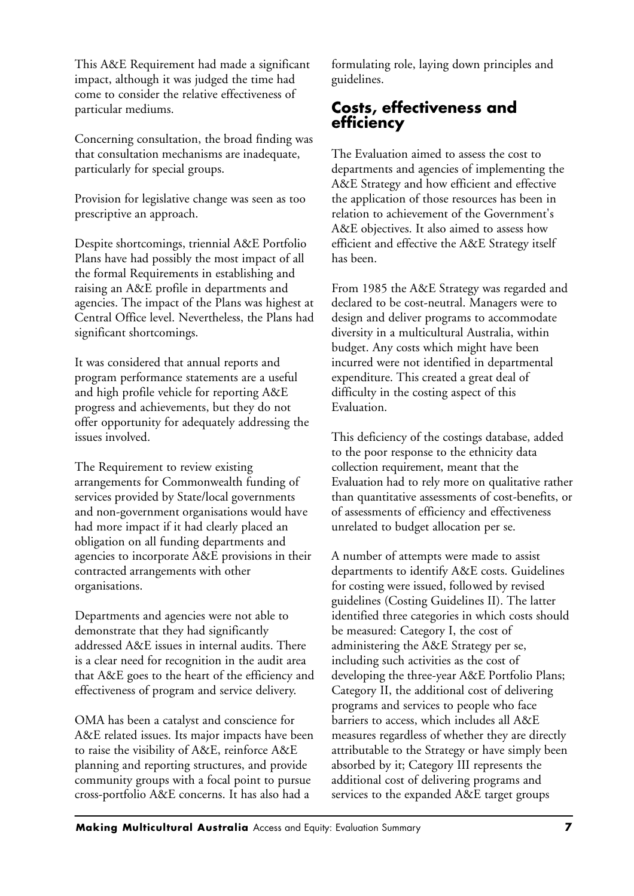This A&E Requirement had made a significant impact, although it was judged the time had come to consider the relative effectiveness of particular mediums.

Concerning consultation, the broad finding was that consultation mechanisms are inadequate, particularly for special groups.

Provision for legislative change was seen as too prescriptive an approach.

Despite shortcomings, triennial A&E Portfolio Plans have had possibly the most impact of all the formal Requirements in establishing and raising an A&E profile in departments and agencies. The impact of the Plans was highest at Central Office level. Nevertheless, the Plans had significant shortcomings.

It was considered that annual reports and program performance statements are a useful and high profile vehicle for reporting A&E progress and achievements, but they do not offer opportunity for adequately addressing the issues involved.

The Requirement to review existing arrangements for Commonwealth funding of services provided by State/local governments and non-government organisations would have had more impact if it had clearly placed an obligation on all funding departments and agencies to incorporate A&E provisions in their contracted arrangements with other organisations.

Departments and agencies were not able to demonstrate that they had significantly addressed A&E issues in internal audits. There is a clear need for recognition in the audit area that A&E goes to the heart of the efficiency and effectiveness of program and service delivery.

OMA has been a catalyst and conscience for A&E related issues. Its major impacts have been to raise the visibility of A&E, reinforce A&E planning and reporting structures, and provide community groups with a focal point to pursue cross-portfolio A&E concerns. It has also had a

formulating role, laying down principles and guidelines.

## **Costs, effectiveness and efficiency**

The Evaluation aimed to assess the cost to departments and agencies of implementing the A&E Strategy and how efficient and effective the application of those resources has been in relation to achievement of the Government's A&E objectives. It also aimed to assess how efficient and effective the A&E Strategy itself has been.

From 1985 the A&E Strategy was regarded and declared to be cost-neutral. Managers were to design and deliver programs to accommodate diversity in a multicultural Australia, within budget. Any costs which might have been incurred were not identified in departmental expenditure. This created a great deal of difficulty in the costing aspect of this Evaluation.

This deficiency of the costings database, added to the poor response to the ethnicity data collection requirement, meant that the Evaluation had to rely more on qualitative rather than quantitative assessments of cost-benefits, or of assessments of efficiency and effectiveness unrelated to budget allocation per se.

A number of attempts were made to assist departments to identify A&E costs. Guidelines for costing were issued, followed by revised guidelines (Costing Guidelines II). The latter identified three categories in which costs should be measured: Category I, the cost of administering the A&E Strategy per se, including such activities as the cost of developing the three-year A&E Portfolio Plans; Category II, the additional cost of delivering programs and services to people who face barriers to access, which includes all A&E measures regardless of whether they are directly attributable to the Strategy or have simply been absorbed by it; Category III represents the additional cost of delivering programs and services to the expanded A&E target groups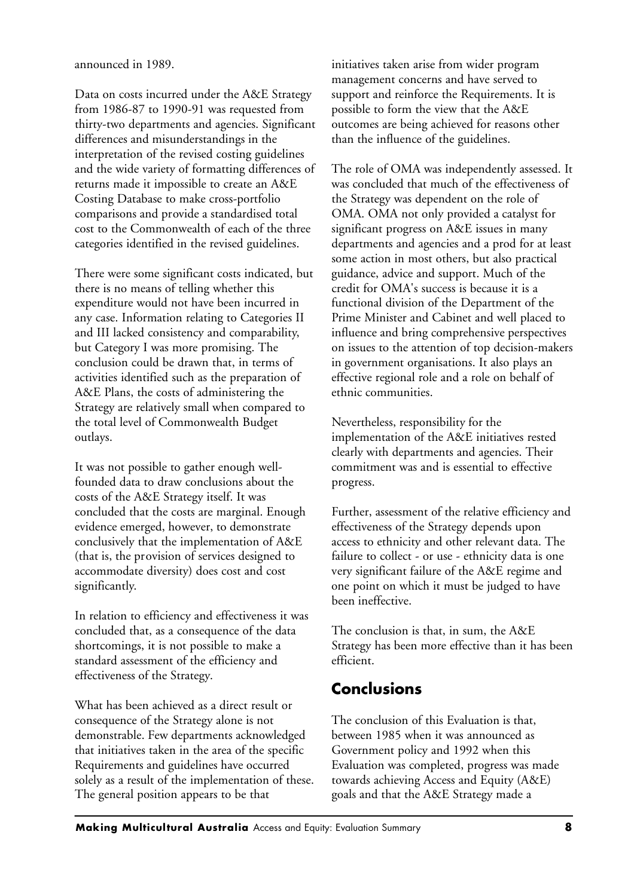announced in 1989.

Data on costs incurred under the A&E Strategy from 1986-87 to 1990-91 was requested from thirty-two departments and agencies. Significant differences and misunderstandings in the interpretation of the revised costing guidelines and the wide variety of formatting differences of returns made it impossible to create an A&E Costing Database to make cross-portfolio comparisons and provide a standardised total cost to the Commonwealth of each of the three categories identified in the revised guidelines.

There were some significant costs indicated, but there is no means of telling whether this expenditure would not have been incurred in any case. Information relating to Categories II and III lacked consistency and comparability, but Category I was more promising. The conclusion could be drawn that, in terms of activities identified such as the preparation of A&E Plans, the costs of administering the Strategy are relatively small when compared to the total level of Commonwealth Budget outlays.

It was not possible to gather enough wellfounded data to draw conclusions about the costs of the A&E Strategy itself. It was concluded that the costs are marginal. Enough evidence emerged, however, to demonstrate conclusively that the implementation of A&E (that is, the provision of services designed to accommodate diversity) does cost and cost significantly.

In relation to efficiency and effectiveness it was concluded that, as a consequence of the data shortcomings, it is not possible to make a standard assessment of the efficiency and effectiveness of the Strategy.

What has been achieved as a direct result or consequence of the Strategy alone is not demonstrable. Few departments acknowledged that initiatives taken in the area of the specific Requirements and guidelines have occurred solely as a result of the implementation of these. The general position appears to be that

initiatives taken arise from wider program management concerns and have served to support and reinforce the Requirements. It is possible to form the view that the A&E outcomes are being achieved for reasons other than the influence of the guidelines.

The role of OMA was independently assessed. It was concluded that much of the effectiveness of the Strategy was dependent on the role of OMA. OMA not only provided a catalyst for significant progress on A&E issues in many departments and agencies and a prod for at least some action in most others, but also practical guidance, advice and support. Much of the credit for OMA's success is because it is a functional division of the Department of the Prime Minister and Cabinet and well placed to influence and bring comprehensive perspectives on issues to the attention of top decision-makers in government organisations. It also plays an effective regional role and a role on behalf of ethnic communities.

Nevertheless, responsibility for the implementation of the A&E initiatives rested clearly with departments and agencies. Their commitment was and is essential to effective progress.

Further, assessment of the relative efficiency and effectiveness of the Strategy depends upon access to ethnicity and other relevant data. The failure to collect - or use - ethnicity data is one very significant failure of the A&E regime and one point on which it must be judged to have been ineffective.

The conclusion is that, in sum, the A&E Strategy has been more effective than it has been efficient.

## **Conclusions**

The conclusion of this Evaluation is that, between 1985 when it was announced as Government policy and 1992 when this Evaluation was completed, progress was made towards achieving Access and Equity (A&E) goals and that the A&E Strategy made a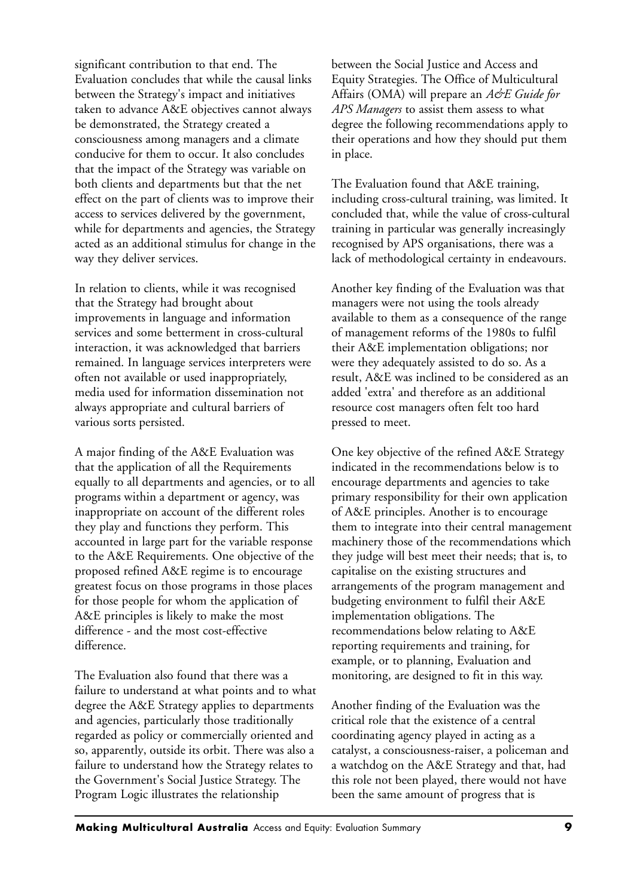significant contribution to that end. The Evaluation concludes that while the causal links between the Strategy's impact and initiatives taken to advance A&E objectives cannot always be demonstrated, the Strategy created a consciousness among managers and a climate conducive for them to occur. It also concludes that the impact of the Strategy was variable on both clients and departments but that the net effect on the part of clients was to improve their access to services delivered by the government, while for departments and agencies, the Strategy acted as an additional stimulus for change in the way they deliver services.

In relation to clients, while it was recognised that the Strategy had brought about improvements in language and information services and some betterment in cross-cultural interaction, it was acknowledged that barriers remained. In language services interpreters were often not available or used inappropriately, media used for information dissemination not always appropriate and cultural barriers of various sorts persisted.

A major finding of the A&E Evaluation was that the application of all the Requirements equally to all departments and agencies, or to all programs within a department or agency, was inappropriate on account of the different roles they play and functions they perform. This accounted in large part for the variable response to the A&E Requirements. One objective of the proposed refined A&E regime is to encourage greatest focus on those programs in those places for those people for whom the application of A&E principles is likely to make the most difference - and the most cost-effective difference.

The Evaluation also found that there was a failure to understand at what points and to what degree the A&E Strategy applies to departments and agencies, particularly those traditionally regarded as policy or commercially oriented and so, apparently, outside its orbit. There was also a failure to understand how the Strategy relates to the Government's Social Justice Strategy. The Program Logic illustrates the relationship

between the Social Justice and Access and Equity Strategies. The Office of Multicultural Affairs (OMA) will prepare an *A&E Guide for APS Managers* to assist them assess to what degree the following recommendations apply to their operations and how they should put them in place.

The Evaluation found that A&E training, including cross-cultural training, was limited. It concluded that, while the value of cross-cultural training in particular was generally increasingly recognised by APS organisations, there was a lack of methodological certainty in endeavours.

Another key finding of the Evaluation was that managers were not using the tools already available to them as a consequence of the range of management reforms of the 1980s to fulfil their A&E implementation obligations; nor were they adequately assisted to do so. As a result, A&E was inclined to be considered as an added 'extra' and therefore as an additional resource cost managers often felt too hard pressed to meet.

One key objective of the refined A&E Strategy indicated in the recommendations below is to encourage departments and agencies to take primary responsibility for their own application of A&E principles. Another is to encourage them to integrate into their central management machinery those of the recommendations which they judge will best meet their needs; that is, to capitalise on the existing structures and arrangements of the program management and budgeting environment to fulfil their A&E implementation obligations. The recommendations below relating to A&E reporting requirements and training, for example, or to planning, Evaluation and monitoring, are designed to fit in this way.

Another finding of the Evaluation was the critical role that the existence of a central coordinating agency played in acting as a catalyst, a consciousness-raiser, a policeman and a watchdog on the A&E Strategy and that, had this role not been played, there would not have been the same amount of progress that is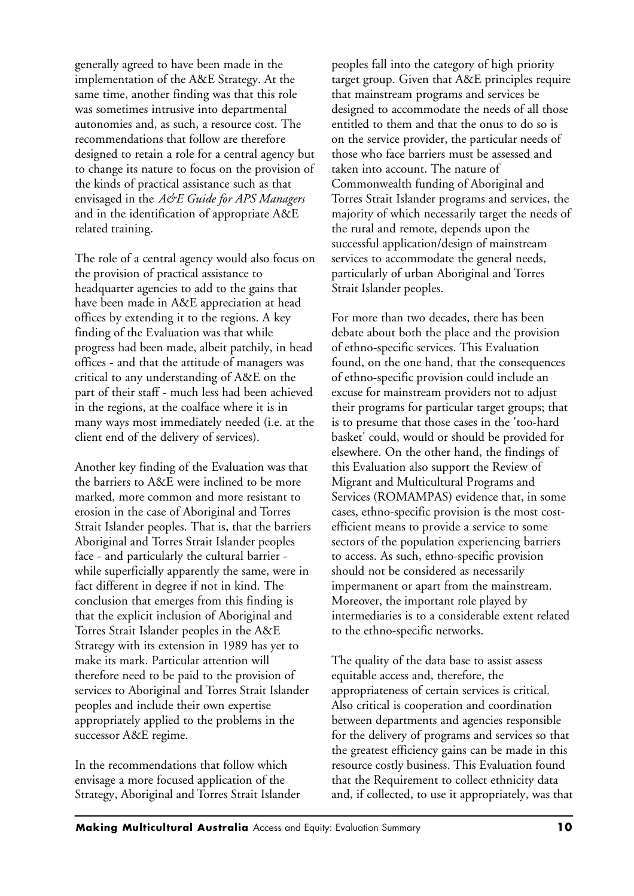generally agreed to have been made in the implementation of the A&E Strategy. At the same time, another finding was that this role was sometimes intrusive into departmental autonomies and, as such, a resource cost. The recommendations that follow are therefore designed to retain a role for a central agency but to change its nature to focus on the provision of the kinds of practical assistance such as that envisaged in the *A&E Guide for APS Managers* and in the identification of appropriate A&E related training.

The role of a central agency would also focus on the provision of practical assistance to headquarter agencies to add to the gains that have been made in A&E appreciation at head offices by extending it to the regions. A key finding of the Evaluation was that while progress had been made, albeit patchily, in head offices - and that the attitude of managers was critical to any understanding of A&E on the part of their staff - much less had been achieved in the regions, at the coalface where it is in many ways most immediately needed (i.e. at the client end of the delivery of services).

Another key finding of the Evaluation was that the barriers to A&E were inclined to be more marked, more common and more resistant to erosion in the case of Aboriginal and Torres Strait Islander peoples. That is, that the barriers Aboriginal and Torres Strait Islander peoples face - and particularly the cultural barrier while superficially apparently the same, were in fact different in degree if not in kind. The conclusion that emerges from this finding is that the explicit inclusion of Aboriginal and Torres Strait Islander peoples in the A&E Strategy with its extension in 1989 has yet to make its mark. Particular attention will therefore need to be paid to the provision of services to Aboriginal and Torres Strait Islander peoples and include their own expertise appropriately applied to the problems in the successor A&E regime.

In the recommendations that follow which envisage a more focused application of the Strategy, Aboriginal and Torres Strait Islander peoples fall into the category of high priority target group. Given that A&E principles require that mainstream programs and services be designed to accommodate the needs of all those entitled to them and that the onus to do so is on the service provider, the particular needs of those who face barriers must be assessed and taken into account. The nature of Commonwealth funding of Aboriginal and Torres Strait Islander programs and services, the majority of which necessarily target the needs of the rural and remote, depends upon the successful application/design of mainstream services to accommodate the general needs, particularly of urban Aboriginal and Torres Strait Islander peoples.

For more than two decades, there has been debate about both the place and the provision of ethno-specific services. This Evaluation found, on the one hand, that the consequences of ethno-specific provision could include an excuse for mainstream providers not to adjust their programs for particular target groups; that is to presume that those cases in the 'too-hard basket' could, would or should be provided for elsewhere. On the other hand, the findings of this Evaluation also support the Review of Migrant and Multicultural Programs and Services (ROMAMPAS) evidence that, in some cases, ethno-specific provision is the most costefficient means to provide a service to some sectors of the population experiencing barriers to access. As such, ethno-specific provision should not be considered as necessarily impermanent or apart from the mainstream. Moreover, the important role played by intermediaries is to a considerable extent related to the ethno-specific networks.

The quality of the data base to assist assess equitable access and, therefore, the appropriateness of certain services is critical. Also critical is cooperation and coordination between departments and agencies responsible for the delivery of programs and services so that the greatest efficiency gains can be made in this resource costly business. This Evaluation found that the Requirement to collect ethnicity data and, if collected, to use it appropriately, was that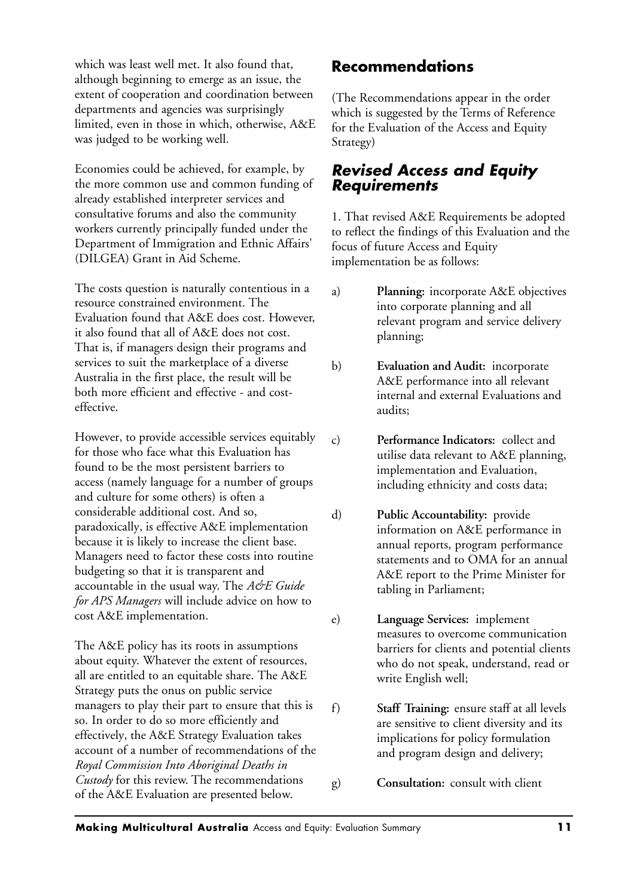which was least well met. It also found that, although beginning to emerge as an issue, the extent of cooperation and coordination between departments and agencies was surprisingly limited, even in those in which, otherwise, A&E was judged to be working well.

Economies could be achieved, for example, by the more common use and common funding of already established interpreter services and consultative forums and also the community workers currently principally funded under the Department of Immigration and Ethnic Affairs' (DILGEA) Grant in Aid Scheme.

The costs question is naturally contentious in a resource constrained environment. The Evaluation found that A&E does cost. However, it also found that all of A&E does not cost. That is, if managers design their programs and services to suit the marketplace of a diverse Australia in the first place, the result will be both more efficient and effective - and costeffective.

However, to provide accessible services equitably for those who face what this Evaluation has found to be the most persistent barriers to access (namely language for a number of groups and culture for some others) is often a considerable additional cost. And so, paradoxically, is effective A&E implementation because it is likely to increase the client base. Managers need to factor these costs into routine budgeting so that it is transparent and accountable in the usual way. The *A&E Guide for APS Managers* will include advice on how to cost A&E implementation.

The A&E policy has its roots in assumptions about equity. Whatever the extent of resources, all are entitled to an equitable share. The A&E Strategy puts the onus on public service managers to play their part to ensure that this is so. In order to do so more efficiently and effectively, the A&E Strategy Evaluation takes account of a number of recommendations of the *Royal Commission Into Aboriginal Deaths in Custody* for this review. The recommendations of the A&E Evaluation are presented below.

## **Recommendations**

(The Recommendations appear in the order which is suggested by the Terms of Reference for the Evaluation of the Access and Equity Strategy)

### *Revised Access and Equity Requirements*

1. That revised A&E Requirements be adopted to reflect the findings of this Evaluation and the focus of future Access and Equity implementation be as follows:

- a) **Planning:** incorporate A&E objectives into corporate planning and all relevant program and service delivery planning;
- b) **Evaluation and Audit:** incorporate A&E performance into all relevant internal and external Evaluations and audits;
- c) **Performance Indicators:** collect and utilise data relevant to A&E planning, implementation and Evaluation, including ethnicity and costs data;
- d) **Public Accountability:** provide information on A&E performance in annual reports, program performance statements and to OMA for an annual A&E report to the Prime Minister for tabling in Parliament;
- e) **Language Services:** implement measures to overcome communication barriers for clients and potential clients who do not speak, understand, read or write English well;
- f) **Staff Training:** ensure staff at all levels are sensitive to client diversity and its implications for policy formulation and program design and delivery;
- g) **Consultation:** consult with client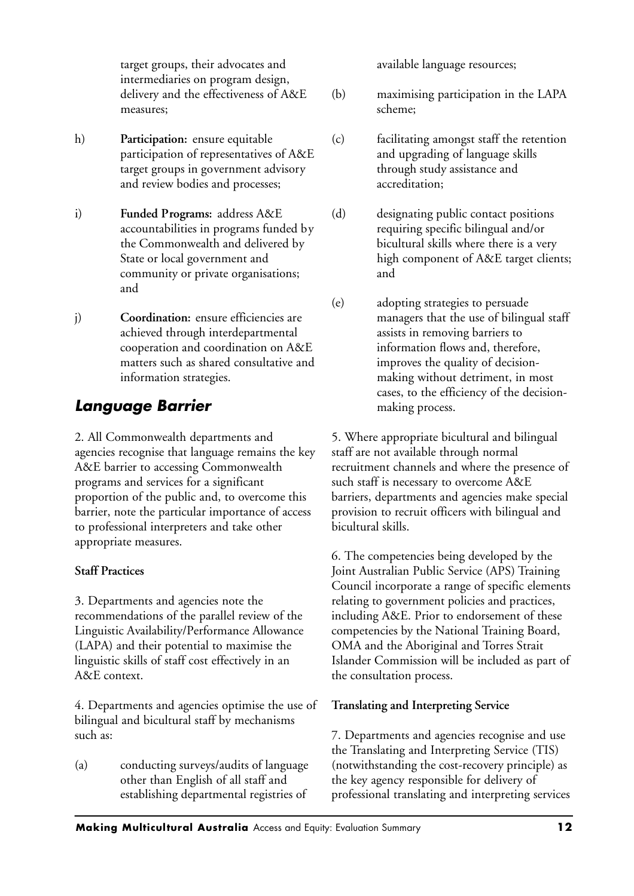target groups, their advocates and intermediaries on program design, delivery and the effectiveness of A&E measures;

- h) **Participation:** ensure equitable participation of representatives of A&E target groups in government advisory and review bodies and processes;
- i) **Funded Programs:** address A&E accountabilities in programs funded by the Commonwealth and delivered by State or local government and community or private organisations; and
- j) **Coordination:** ensure efficiencies are achieved through interdepartmental cooperation and coordination on A&E matters such as shared consultative and information strategies.

# *Language Barrier*

2. All Commonwealth departments and agencies recognise that language remains the key A&E barrier to accessing Commonwealth programs and services for a significant proportion of the public and, to overcome this barrier, note the particular importance of access to professional interpreters and take other appropriate measures.

#### **Staff Practices**

3. Departments and agencies note the recommendations of the parallel review of the Linguistic Availability/Performance Allowance (LAPA) and their potential to maximise the linguistic skills of staff cost effectively in an A&E context.

4. Departments and agencies optimise the use of bilingual and bicultural staff by mechanisms such as:

(a) conducting surveys/audits of language other than English of all staff and establishing departmental registries of

available language resources;

- (b) maximising participation in the LAPA scheme;
- (c) facilitating amongst staff the retention and upgrading of language skills through study assistance and accreditation;
- (d) designating public contact positions requiring specific bilingual and/or bicultural skills where there is a very high component of A&E target clients; and
- (e) adopting strategies to persuade managers that the use of bilingual staff assists in removing barriers to information flows and, therefore, improves the quality of decisionmaking without detriment, in most cases, to the efficiency of the decisionmaking process.

5. Where appropriate bicultural and bilingual staff are not available through normal recruitment channels and where the presence of such staff is necessary to overcome A&E barriers, departments and agencies make special provision to recruit officers with bilingual and bicultural skills.

6. The competencies being developed by the Joint Australian Public Service (APS) Training Council incorporate a range of specific elements relating to government policies and practices, including A&E. Prior to endorsement of these competencies by the National Training Board, OMA and the Aboriginal and Torres Strait Islander Commission will be included as part of the consultation process.

#### **Translating and Interpreting Service**

7. Departments and agencies recognise and use the Translating and Interpreting Service (TIS) (notwithstanding the cost-recovery principle) as the key agency responsible for delivery of professional translating and interpreting services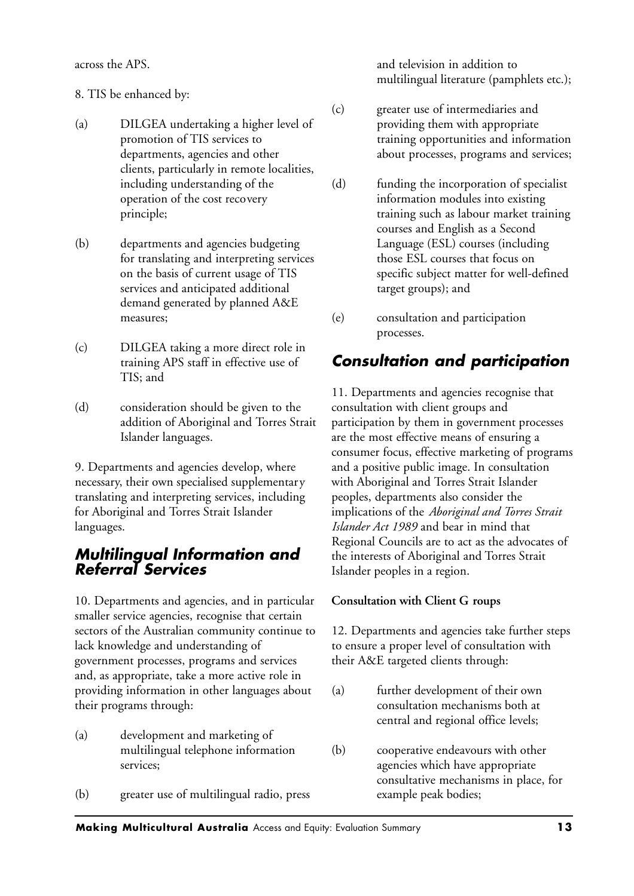across the APS.

- 8. TIS be enhanced by:
- (a) DILGEA undertaking a higher level of promotion of TIS services to departments, agencies and other clients, particularly in remote localities, including understanding of the operation of the cost recovery principle;
- (b) departments and agencies budgeting for translating and interpreting services on the basis of current usage of TIS services and anticipated additional demand generated by planned A&E measures;
- (c) DILGEA taking a more direct role in training APS staff in effective use of TIS; and
- (d) consideration should be given to the addition of Aboriginal and Torres Strait Islander languages.

9. Departments and agencies develop, where necessary, their own specialised supplementary translating and interpreting services, including for Aboriginal and Torres Strait Islander languages.

## *Multilingual Information and Referral Services*

10. Departments and agencies, and in particular smaller service agencies, recognise that certain sectors of the Australian community continue to lack knowledge and understanding of government processes, programs and services and, as appropriate, take a more active role in providing information in other languages about their programs through:

- (a) development and marketing of multilingual telephone information services;
- (b) greater use of multilingual radio, press

and television in addition to multilingual literature (pamphlets etc.);

- (c) greater use of intermediaries and providing them with appropriate training opportunities and information about processes, programs and services;
- (d) funding the incorporation of specialist information modules into existing training such as labour market training courses and English as a Second Language (ESL) courses (including those ESL courses that focus on specific subject matter for well-defined target groups); and
- (e) consultation and participation processes.

# *Consultation and participation*

11. Departments and agencies recognise that consultation with client groups and participation by them in government processes are the most effective means of ensuring a consumer focus, effective marketing of programs and a positive public image. In consultation with Aboriginal and Torres Strait Islander peoples, departments also consider the implications of the *Aboriginal and Torres Strait Islander Act 1989* and bear in mind that Regional Councils are to act as the advocates of the interests of Aboriginal and Torres Strait Islander peoples in a region.

#### **Consultation with Client G roups**

12. Departments and agencies take further steps to ensure a proper level of consultation with their A&E targeted clients through:

- (a) further development of their own consultation mechanisms both at central and regional office levels;
- (b) cooperative endeavours with other agencies which have appropriate consultative mechanisms in place, for example peak bodies;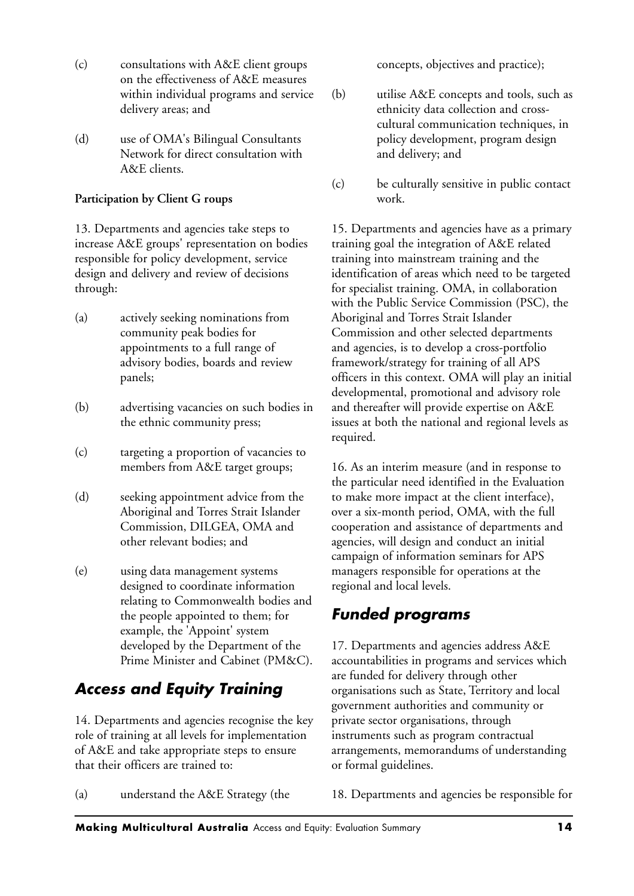- (c) consultations with A&E client groups on the effectiveness of A&E measures within individual programs and service delivery areas; and
- (d) use of OMA's Bilingual Consultants Network for direct consultation with A&E clients.

#### **Participation by Client G roups**

13. Departments and agencies take steps to increase A&E groups' representation on bodies responsible for policy development, service design and delivery and review of decisions through:

- (a) actively seeking nominations from community peak bodies for appointments to a full range of advisory bodies, boards and review panels;
- (b) advertising vacancies on such bodies in the ethnic community press;
- (c) targeting a proportion of vacancies to members from A&E target groups;
- (d) seeking appointment advice from the Aboriginal and Torres Strait Islander Commission, DILGEA, OMA and other relevant bodies; and
- (e) using data management systems designed to coordinate information relating to Commonwealth bodies and the people appointed to them; for example, the 'Appoint' system developed by the Department of the Prime Minister and Cabinet (PM&C).

# *Access and Equity Training*

14. Departments and agencies recognise the key role of training at all levels for implementation of A&E and take appropriate steps to ensure that their officers are trained to:

(a) understand the A&E Strategy (the

concepts, objectives and practice);

- (b) utilise A&E concepts and tools, such as ethnicity data collection and crosscultural communication techniques, in policy development, program design and delivery; and
- (c) be culturally sensitive in public contact work.

15. Departments and agencies have as a primary training goal the integration of A&E related training into mainstream training and the identification of areas which need to be targeted for specialist training. OMA, in collaboration with the Public Service Commission (PSC), the Aboriginal and Torres Strait Islander Commission and other selected departments and agencies, is to develop a cross-portfolio framework/strategy for training of all APS officers in this context. OMA will play an initial developmental, promotional and advisory role and thereafter will provide expertise on A&E issues at both the national and regional levels as required.

16. As an interim measure (and in response to the particular need identified in the Evaluation to make more impact at the client interface), over a six-month period, OMA, with the full cooperation and assistance of departments and agencies, will design and conduct an initial campaign of information seminars for APS managers responsible for operations at the regional and local levels.

# *Funded programs*

17. Departments and agencies address A&E accountabilities in programs and services which are funded for delivery through other organisations such as State, Territory and local government authorities and community or private sector organisations, through instruments such as program contractual arrangements, memorandums of understanding or formal guidelines.

18. Departments and agencies be responsible for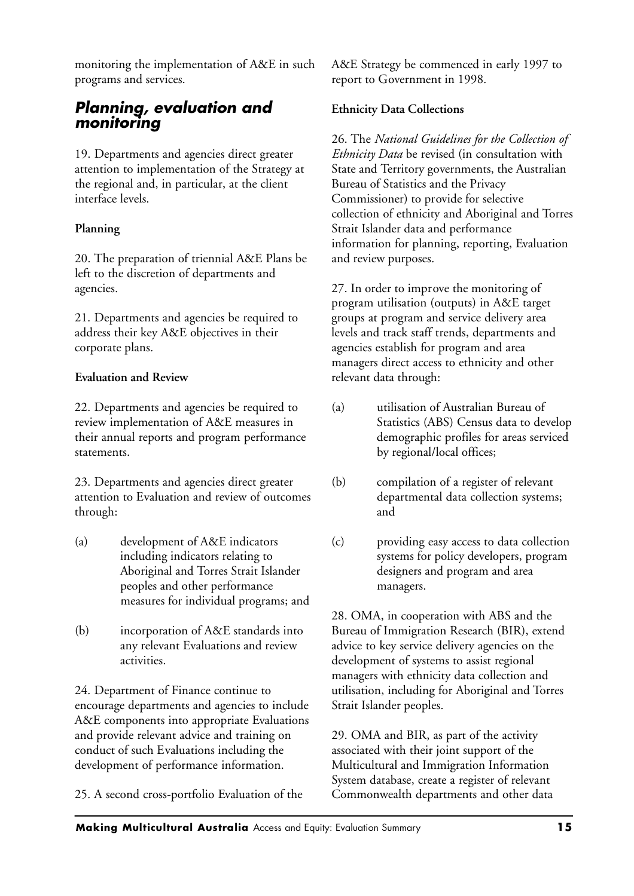monitoring the implementation of A&E in such programs and services.

## *Planning, evaluation and monitoring*

19. Departments and agencies direct greater attention to implementation of the Strategy at the regional and, in particular, at the client interface levels.

#### **Planning**

20. The preparation of triennial A&E Plans be left to the discretion of departments and agencies.

21. Departments and agencies be required to address their key A&E objectives in their corporate plans.

#### **Evaluation and Review**

22. Departments and agencies be required to review implementation of A&E measures in their annual reports and program performance statements.

23. Departments and agencies direct greater attention to Evaluation and review of outcomes through:

- (a) development of A&E indicators including indicators relating to Aboriginal and Torres Strait Islander peoples and other performance measures for individual programs; and
- (b) incorporation of A&E standards into any relevant Evaluations and review activities.

24. Department of Finance continue to encourage departments and agencies to include A&E components into appropriate Evaluations and provide relevant advice and training on conduct of such Evaluations including the development of performance information.

25. A second cross-portfolio Evaluation of the

A&E Strategy be commenced in early 1997 to report to Government in 1998.

#### **Ethnicity Data Collections**

26. The *National Guidelines for the Collection of Ethnicity Data* be revised (in consultation with State and Territory governments, the Australian Bureau of Statistics and the Privacy Commissioner) to provide for selective collection of ethnicity and Aboriginal and Torres Strait Islander data and performance information for planning, reporting, Evaluation and review purposes.

27. In order to improve the monitoring of program utilisation (outputs) in A&E target groups at program and service delivery area levels and track staff trends, departments and agencies establish for program and area managers direct access to ethnicity and other relevant data through:

- (a) utilisation of Australian Bureau of Statistics (ABS) Census data to develop demographic profiles for areas serviced by regional/local offices;
- (b) compilation of a register of relevant departmental data collection systems; and
- (c) providing easy access to data collection systems for policy developers, program designers and program and area managers.

28. OMA, in cooperation with ABS and the Bureau of Immigration Research (BIR), extend advice to key service delivery agencies on the development of systems to assist regional managers with ethnicity data collection and utilisation, including for Aboriginal and Torres Strait Islander peoples.

29. OMA and BIR, as part of the activity associated with their joint support of the Multicultural and Immigration Information System database, create a register of relevant Commonwealth departments and other data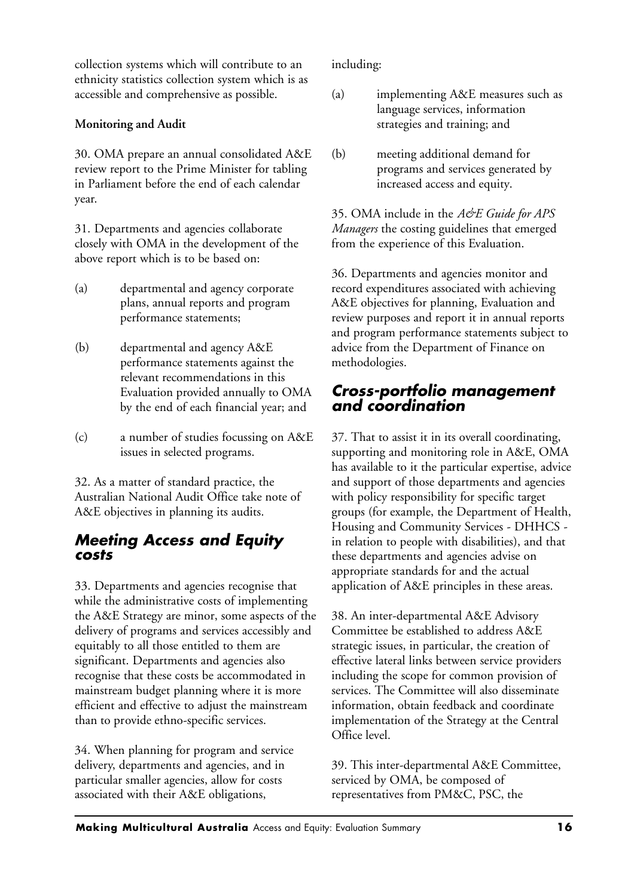collection systems which will contribute to an ethnicity statistics collection system which is as accessible and comprehensive as possible.

#### **Monitoring and Audit**

30. OMA prepare an annual consolidated A&E review report to the Prime Minister for tabling in Parliament before the end of each calendar year.

31. Departments and agencies collaborate closely with OMA in the development of the above report which is to be based on:

- (a) departmental and agency corporate plans, annual reports and program performance statements;
- (b) departmental and agency A&E performance statements against the relevant recommendations in this Evaluation provided annually to OMA by the end of each financial year; and
- (c) a number of studies focussing on A&E issues in selected programs.

32. As a matter of standard practice, the Australian National Audit Office take note of A&E objectives in planning its audits.

## *Meeting Access and Equity costs*

33. Departments and agencies recognise that while the administrative costs of implementing the A&E Strategy are minor, some aspects of the delivery of programs and services accessibly and equitably to all those entitled to them are significant. Departments and agencies also recognise that these costs be accommodated in mainstream budget planning where it is more efficient and effective to adjust the mainstream than to provide ethno-specific services.

34. When planning for program and service delivery, departments and agencies, and in particular smaller agencies, allow for costs associated with their A&E obligations,

including:

- (a) implementing A&E measures such as language services, information strategies and training; and
- (b) meeting additional demand for programs and services generated by increased access and equity.

35. OMA include in the *A&E Guide for APS Managers* the costing guidelines that emerged from the experience of this Evaluation.

36. Departments and agencies monitor and record expenditures associated with achieving A&E objectives for planning, Evaluation and review purposes and report it in annual reports and program performance statements subject to advice from the Department of Finance on methodologies.

#### *Cross-portfolio management and coordination*

37. That to assist it in its overall coordinating, supporting and monitoring role in A&E, OMA has available to it the particular expertise, advice and support of those departments and agencies with policy responsibility for specific target groups (for example, the Department of Health, Housing and Community Services - DHHCS in relation to people with disabilities), and that these departments and agencies advise on appropriate standards for and the actual application of A&E principles in these areas.

38. An inter-departmental A&E Advisory Committee be established to address A&E strategic issues, in particular, the creation of effective lateral links between service providers including the scope for common provision of services. The Committee will also disseminate information, obtain feedback and coordinate implementation of the Strategy at the Central Office level.

39. This inter-departmental A&E Committee, serviced by OMA, be composed of representatives from PM&C, PSC, the